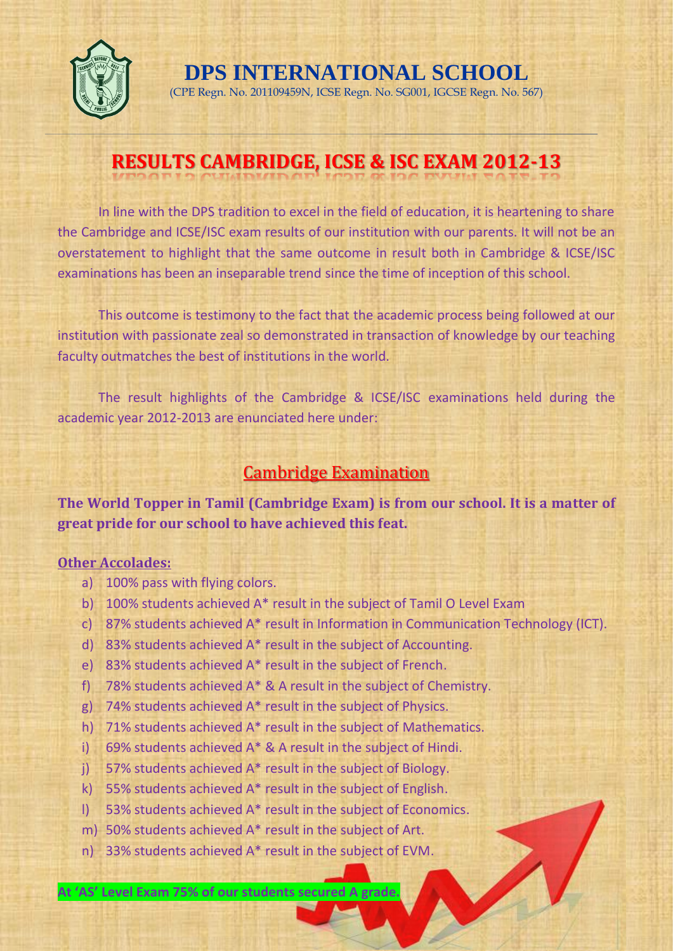

**DPS INTERNATIONAL SCHOOL**

(CPE Regn. No. 201109459N, ICSE Regn. No. SG001, IGCSE Regn. No. 567)

# **RESULTS CAMBRIDGE, ICSE & ISC EXAM 2012-13**

In line with the DPS tradition to excel in the field of education, it is heartening to share the Cambridge and ICSE/ISC exam results of our institution with our parents. It will not be an overstatement to highlight that the same outcome in result both in Cambridge & ICSE/ISC examinations has been an inseparable trend since the time of inception of this school.

This outcome is testimony to the fact that the academic process being followed at our institution with passionate zeal so demonstrated in transaction of knowledge by our teaching faculty outmatches the best of institutions in the world.

The result highlights of the Cambridge & ICSE/ISC examinations held during the academic year 2012-2013 are enunciated here under:

### Cambridge Examination

**The World Topper in Tamil (Cambridge Exam) is from our school. It is a matter of great pride for our school to have achieved this feat.**

#### **Other Accolades:**

- a) 100% pass with flying colors.
- b) 100% students achieved A\* result in the subject of Tamil O Level Exam
- c) 87% students achieved A\* result in Information in Communication Technology (ICT).
- d) 83% students achieved A\* result in the subject of Accounting.
- e) 83% students achieved A\* result in the subject of French.
- f) 78% students achieved A\* & A result in the subject of Chemistry.
- g) 74% students achieved A\* result in the subject of Physics.
- h) 71% students achieved A\* result in the subject of Mathematics.
- i) 69% students achieved A\* & A result in the subject of Hindi.
- j) 57% students achieved A\* result in the subject of Biology.
- k) 55% students achieved A\* result in the subject of English.
- l) 53% students achieved A\* result in the subject of Economics.
- m) 50% students achieved A\* result in the subject of Art.

**At 'AS' Level Exam 75% of our students secured A grade.**

n) 33% students achieved A\* result in the subject of EVM.